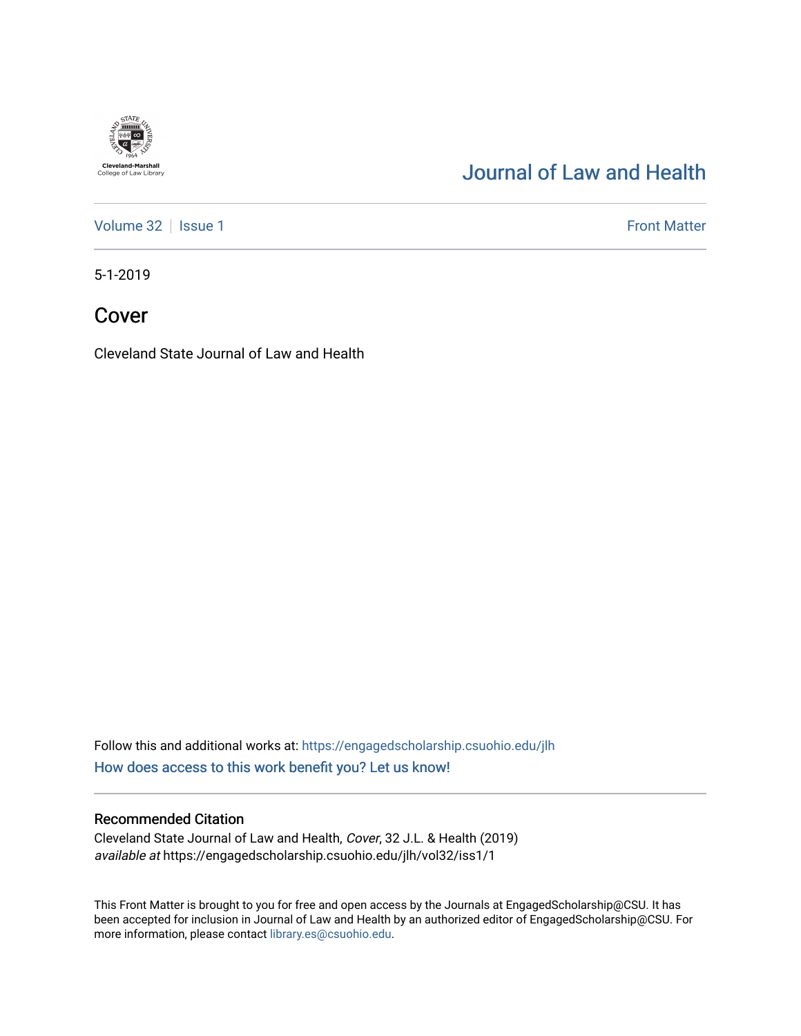

# [Journal of Law and Health](https://engagedscholarship.csuohio.edu/jlh)

[Volume 32](https://engagedscholarship.csuohio.edu/jlh/vol32) | [Issue 1](https://engagedscholarship.csuohio.edu/jlh/vol32/iss1) Front Matter

5-1-2019

Cover

Cleveland State Journal of Law and Health

Follow this and additional works at: [https://engagedscholarship.csuohio.edu/jlh](https://engagedscholarship.csuohio.edu/jlh?utm_source=engagedscholarship.csuohio.edu%2Fjlh%2Fvol32%2Fiss1%2F1&utm_medium=PDF&utm_campaign=PDFCoverPages)  [How does access to this work benefit you? Let us know!](http://library.csuohio.edu/engaged/)

#### Recommended Citation

Cleveland State Journal of Law and Health, Cover, 32 J.L. & Health (2019) available at https://engagedscholarship.csuohio.edu/jlh/vol32/iss1/1

This Front Matter is brought to you for free and open access by the Journals at EngagedScholarship@CSU. It has been accepted for inclusion in Journal of Law and Health by an authorized editor of EngagedScholarship@CSU. For more information, please contact [library.es@csuohio.edu](mailto:library.es@csuohio.edu).